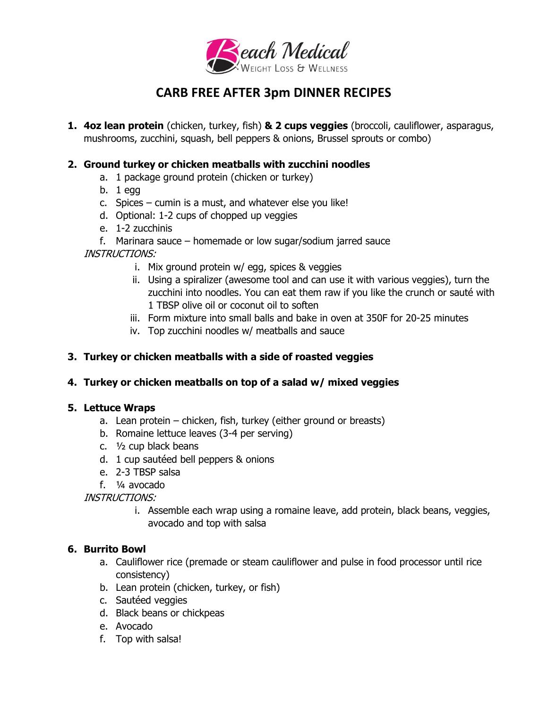

# **CARB FREE AFTER 3pm DINNER RECIPES**

**1. 4oz lean protein** (chicken, turkey, fish) **& 2 cups veggies** (broccoli, cauliflower, asparagus, mushrooms, zucchini, squash, bell peppers & onions, Brussel sprouts or combo)

#### **2. Ground turkey or chicken meatballs with zucchini noodles**

- a. 1 package ground protein (chicken or turkey)
- b. 1 egg
- c. Spices cumin is a must, and whatever else you like!
- d. Optional: 1-2 cups of chopped up veggies
- e. 1-2 zucchinis
- f. Marinara sauce homemade or low sugar/sodium jarred sauce

INSTRUCTIONS:

- i. Mix ground protein w/ egg, spices & veggies
- ii. Using a spiralizer (awesome tool and can use it with various veggies), turn the zucchini into noodles. You can eat them raw if you like the crunch or sauté with 1 TBSP olive oil or coconut oil to soften
- iii. Form mixture into small balls and bake in oven at 350F for 20-25 minutes
- iv. Top zucchini noodles w/ meatballs and sauce

# **3. Turkey or chicken meatballs with a side of roasted veggies**

#### **4. Turkey or chicken meatballs on top of a salad w/ mixed veggies**

#### **5. Lettuce Wraps**

- a. Lean protein chicken, fish, turkey (either ground or breasts)
- b. Romaine lettuce leaves (3-4 per serving)
- c. ½ cup black beans
- d. 1 cup sautéed bell peppers & onions
- e. 2-3 TBSP salsa
- f. ¼ avocado

INSTRUCTIONS:

i. Assemble each wrap using a romaine leave, add protein, black beans, veggies, avocado and top with salsa

#### **6. Burrito Bowl**

- a. Cauliflower rice (premade or steam cauliflower and pulse in food processor until rice consistency)
- b. Lean protein (chicken, turkey, or fish)
- c. Sautéed veggies
- d. Black beans or chickpeas
- e. Avocado
- f. Top with salsa!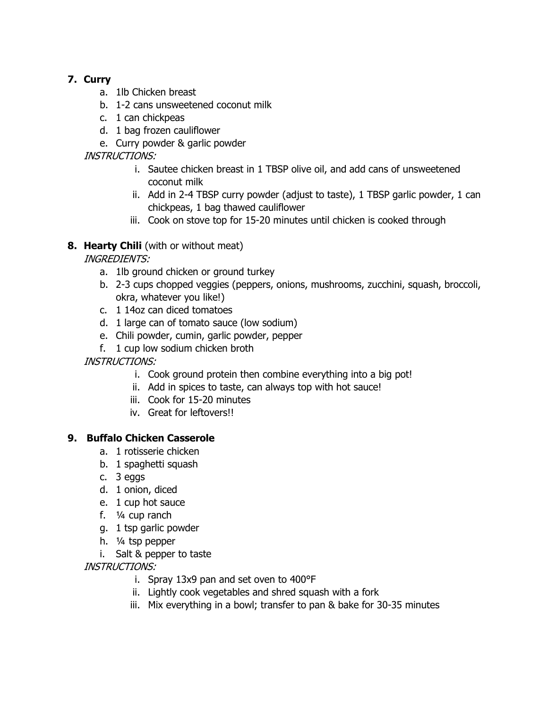# **7. Curry**

- a. 1lb Chicken breast
- b. 1-2 cans unsweetened coconut milk
- c. 1 can chickpeas
- d. 1 bag frozen cauliflower
- e. Curry powder & garlic powder

# INSTRUCTIONS:

- i. Sautee chicken breast in 1 TBSP olive oil, and add cans of unsweetened coconut milk
- ii. Add in 2-4 TBSP curry powder (adjust to taste), 1 TBSP garlic powder, 1 can chickpeas, 1 bag thawed cauliflower
- iii. Cook on stove top for 15-20 minutes until chicken is cooked through

# **8. Hearty Chili** (with or without meat)

INGREDIENTS:

- a. 1lb ground chicken or ground turkey
- b. 2-3 cups chopped veggies (peppers, onions, mushrooms, zucchini, squash, broccoli, okra, whatever you like!)
- c. 1 14oz can diced tomatoes
- d. 1 large can of tomato sauce (low sodium)
- e. Chili powder, cumin, garlic powder, pepper
- f. 1 cup low sodium chicken broth

INSTRUCTIONS:

- i. Cook ground protein then combine everything into a big pot!
- ii. Add in spices to taste, can always top with hot sauce!
- iii. Cook for 15-20 minutes
- iv. Great for leftovers!!

# **9. Buffalo Chicken Casserole**

- a. 1 rotisserie chicken
- b. 1 spaghetti squash
- c. 3 eggs
- d. 1 onion, diced
- e. 1 cup hot sauce
- f. ¼ cup ranch
- g. 1 tsp garlic powder
- h. ¼ tsp pepper
- i. Salt & pepper to taste

INSTRUCTIONS:

- i. Spray 13x9 pan and set oven to 400°F
- ii. Lightly cook vegetables and shred squash with a fork
- iii. Mix everything in a bowl; transfer to pan & bake for 30-35 minutes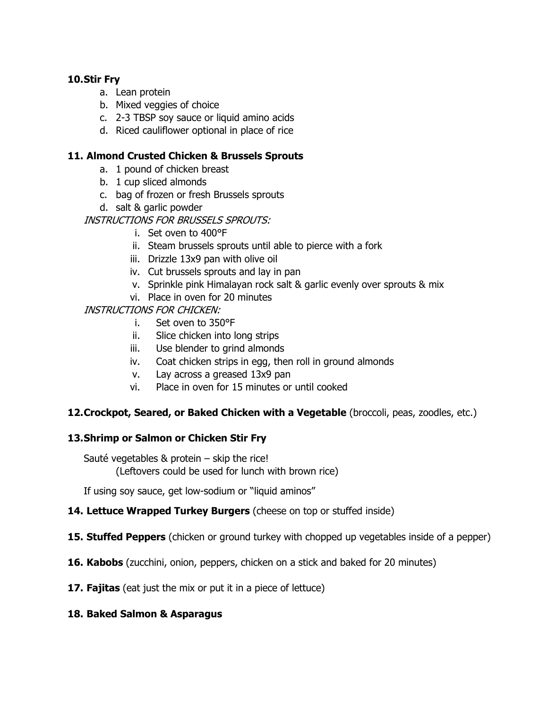### **10.Stir Fry**

- a. Lean protein
- b. Mixed veggies of choice
- c. 2-3 TBSP soy sauce or liquid amino acids
- d. Riced cauliflower optional in place of rice

# **11. Almond Crusted Chicken & Brussels Sprouts**

- a. 1 pound of chicken breast
- b. 1 cup sliced almonds
- c. bag of frozen or fresh Brussels sprouts
- d. salt & garlic powder

### INSTRUCTIONS FOR BRUSSELS SPROUTS:

- i. Set oven to 400°F
- ii. Steam brussels sprouts until able to pierce with a fork
- iii. Drizzle 13x9 pan with olive oil
- iv. Cut brussels sprouts and lay in pan
- v. Sprinkle pink Himalayan rock salt & garlic evenly over sprouts & mix
- vi. Place in oven for 20 minutes

# INSTRUCTIONS FOR CHICKEN:

- i. Set oven to 350°F
- ii. Slice chicken into long strips
- iii. Use blender to grind almonds
- iv. Coat chicken strips in egg, then roll in ground almonds
- v. Lay across a greased 13x9 pan
- vi. Place in oven for 15 minutes or until cooked

# **12.Crockpot, Seared, or Baked Chicken with a Vegetable** (broccoli, peas, zoodles, etc.)

# **13.Shrimp or Salmon or Chicken Stir Fry**

Sauté vegetables & protein – skip the rice!

(Leftovers could be used for lunch with brown rice)

If using soy sauce, get low-sodium or "liquid aminos"

# **14. Lettuce Wrapped Turkey Burgers** (cheese on top or stuffed inside)

- **15. Stuffed Peppers** (chicken or ground turkey with chopped up vegetables inside of a pepper)
- **16. Kabobs** (zucchini, onion, peppers, chicken on a stick and baked for 20 minutes)
- **17. Fajitas** (eat just the mix or put it in a piece of lettuce)

# **18. Baked Salmon & Asparagus**